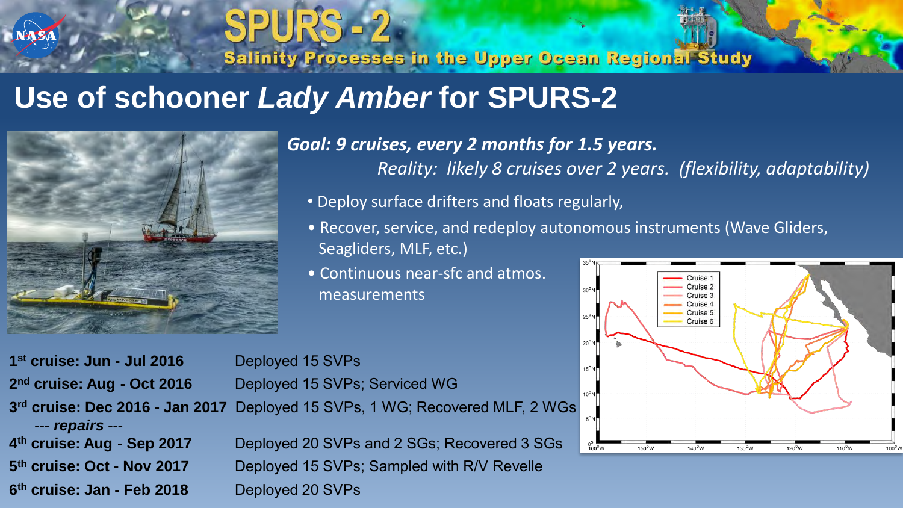# **Use of schooner** *Lady Amber* **for SPURS-2**

**SPURS - 2** 



*Goal: 9 cruises, every 2 months for 1.5 years. Reality: likely 8 cruises over 2 years. (flexibility, adaptability)*

• Deploy surface drifters and floats regularly,

**Salinity Processes in the Upper Ocean Regional Study** 

- Recover, service, and redeploy autonomous instruments (Wave Gliders, Seagliders, MLF, etc.)
- Continuous near-sfc and atmos. measurements



**1 st cruise: Jun - Jul 2016** Deployed 15 SVPs 2<sup>nd</sup> cruise: Aug - Oct 2016 3<sup>rd</sup> cruise: Dec 2016 - Jan 2017 *--- repairs ---* 4<sup>th</sup> cruise: Aug - Sep 2017 5<sup>th</sup> cruise: Oct - Nov 2017

**Deployed 20 SVPs and 2 SGs; Recovered 3 SGs Deployed 15 SVPs; Sampled with R/V Revelle 6 th cruise: Jan - Feb 2018** Deployed 20 SVPs

**Deployed 15 SVPs; Serviced WG**